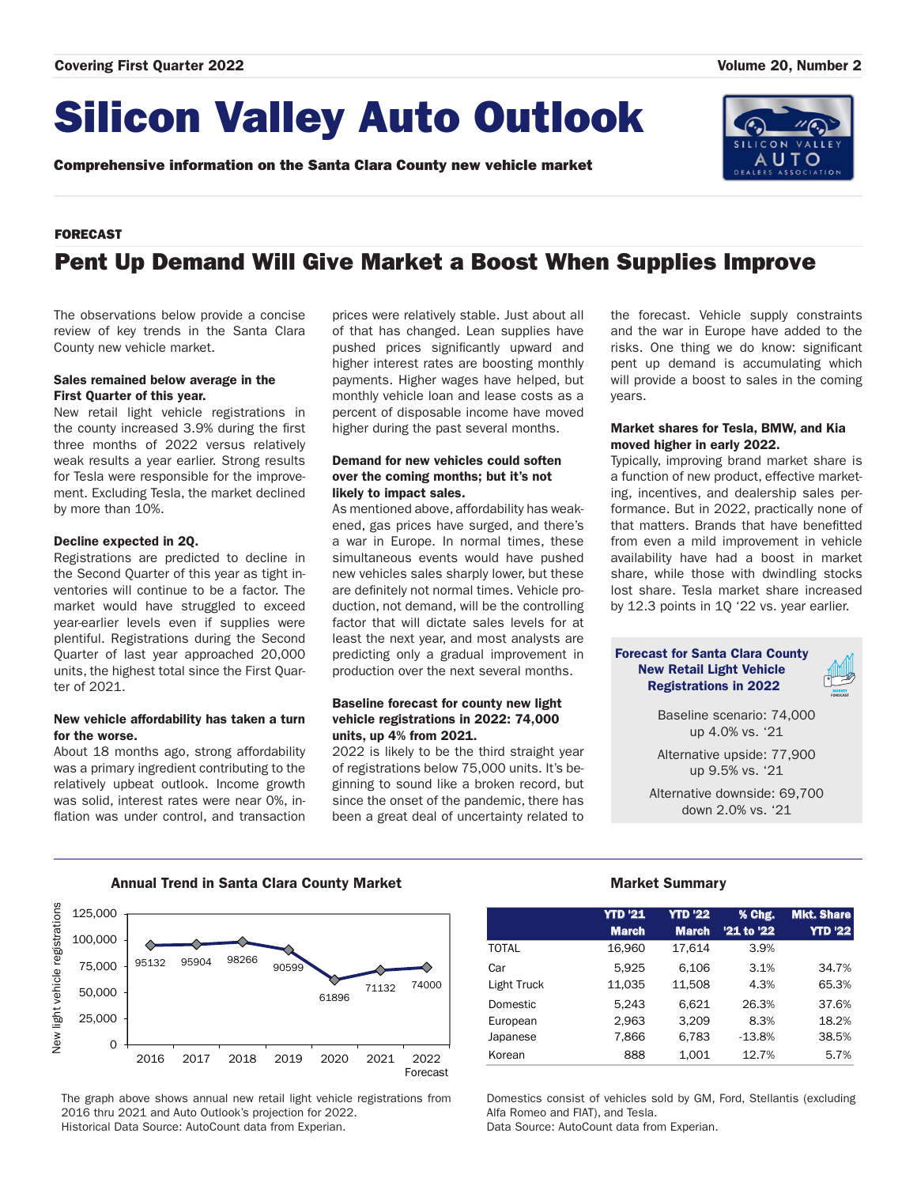# Silicon Valley Auto Outlook

Comprehensive information on the Santa Clara County new vehicle market



### FORECAST

## Pent Up Demand Will Give Market a Boost When Supplies Improve

The observations below provide a concise review of key trends in the Santa Clara County new vehicle market.

### Sales remained below average in the First Quarter of this year.

New retail light vehicle registrations in the county increased 3.9% during the first three months of 2022 versus relatively weak results a year earlier. Strong results for Tesla were responsible for the improvement. Excluding Tesla, the market declined by more than 10%.

### Decline expected in 2Q.

Registrations are predicted to decline in the Second Quarter of this year as tight inventories will continue to be a factor. The market would have struggled to exceed year-earlier levels even if supplies were plentiful. Registrations during the Second Quarter of last year approached 20,000 units, the highest total since the First Quarter of 2021.

### New vehicle affordability has taken a turn for the worse.

About 18 months ago, strong affordability was a primary ingredient contributing to the relatively upbeat outlook. Income growth was solid, interest rates were near 0%, inflation was under control, and transaction prices were relatively stable. Just about all of that has changed. Lean supplies have pushed prices significantly upward and higher interest rates are boosting monthly payments. Higher wages have helped, but monthly vehicle loan and lease costs as a percent of disposable income have moved higher during the past several months.

### Demand for new vehicles could soften over the coming months; but it's not likely to impact sales.

As mentioned above, affordability has weakened, gas prices have surged, and there's a war in Europe. In normal times, these simultaneous events would have pushed new vehicles sales sharply lower, but these are definitely not normal times. Vehicle production, not demand, will be the controlling factor that will dictate sales levels for at least the next year, and most analysts are predicting only a gradual improvement in production over the next several months.

### Baseline forecast for county new light vehicle registrations in 2022: 74,000 units, up 4% from 2021.

2022 is likely to be the third straight year of registrations below 75,000 units. It's beginning to sound like a broken record, but since the onset of the pandemic, there has been a great deal of uncertainty related to the forecast. Vehicle supply constraints and the war in Europe have added to the risks. One thing we do know: significant pent up demand is accumulating which will provide a boost to sales in the coming years.

### Market shares for Tesla, BMW, and Kia moved higher in early 2022.

Typically, improving brand market share is a function of new product, effective marketing, incentives, and dealership sales performance. But in 2022, practically none of that matters. Brands that have benefitted from even a mild improvement in vehicle availability have had a boost in market share, while those with dwindling stocks lost share. Tesla market share increased by 12.3 points in 1Q '22 vs. year earlier.

### Forecast for Santa Clara County New Retail Light Vehicle Registrations in 2022

Baseline scenario: 74,000 up 4.0% vs. '21

Alternative upside: 77,900 up 9.5% vs. '21

Alternative downside: 69,700 down 2.0% vs. '21

### Annual Trend in Santa Clara County Market **Market Summary** Market Summary



The graph above shows annual new retail light vehicle registrations from 2016 thru 2021 and Auto Outlook's projection for 2022. Historical Data Source: AutoCount data from Experian.

|              | <b>YTD '21</b><br><b>March</b> | <b>YTD '22</b><br><b>March</b> | % Chg.<br>'21 to '22 | <b>Mkt. Share</b><br><b>YTD '22</b> |
|--------------|--------------------------------|--------------------------------|----------------------|-------------------------------------|
| <b>TOTAL</b> | 16,960                         | 17,614                         | 3.9%                 |                                     |
| Car          | 5.925                          | 6.106                          | 3.1%                 | 34.7%                               |
| Light Truck  | 11,035                         | 11,508                         | 4.3%                 | 65.3%                               |
| Domestic     | 5,243                          | 6,621                          | 26.3%                | 37.6%                               |
| European     | 2,963                          | 3,209                          | 8.3%                 | 18.2%                               |
| Japanese     | 7,866                          | 6,783                          | $-13.8%$             | 38.5%                               |
| Korean       | 888                            | 1,001                          | 12.7%                | 5.7%                                |

Domestics consist of vehicles sold by GM, Ford, Stellantis (excluding Alfa Romeo and FIAT), and Tesla.

Data Source: AutoCount data from Experian.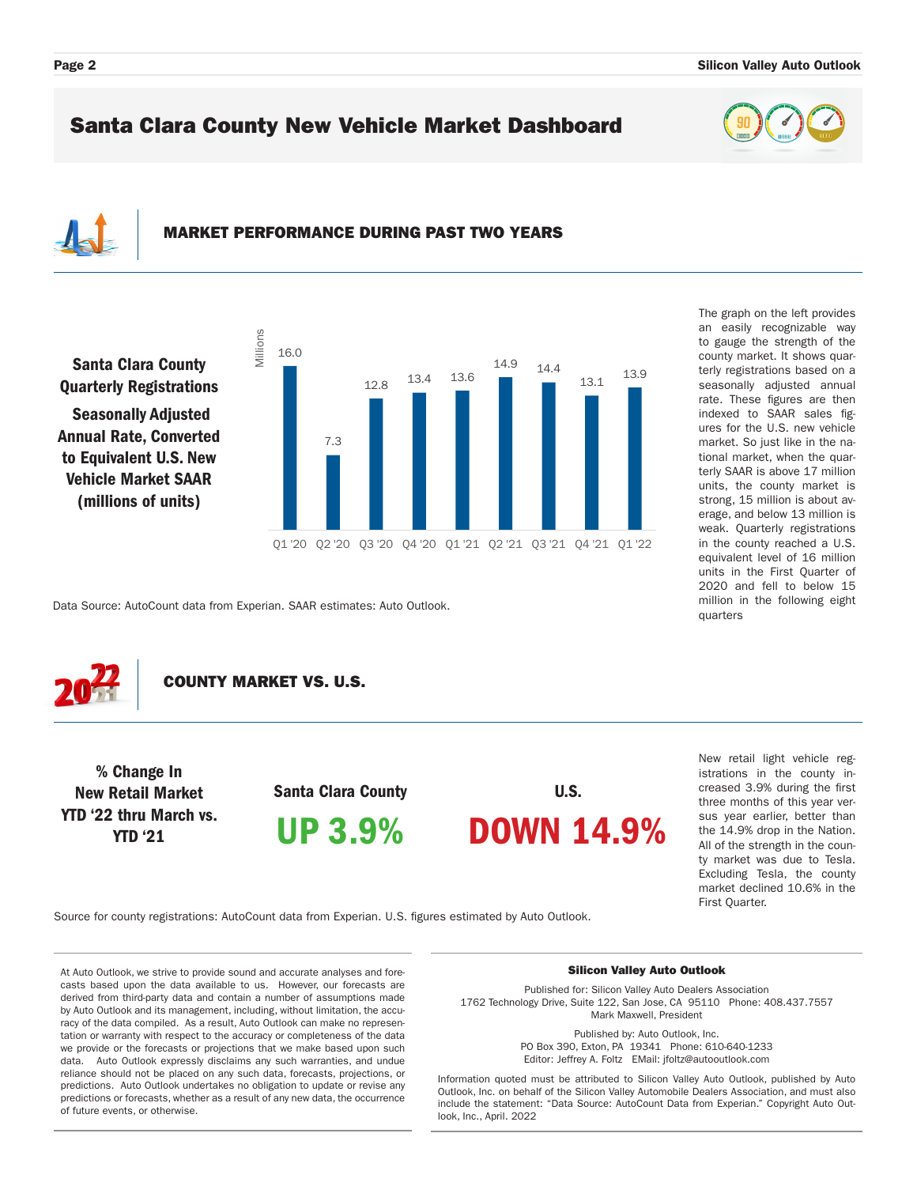The graph on the left provides an easily recognizable way to gauge the strength of the county market. It shows quarterly registrations based on a seasonally adjusted annual rate. These figures are then indexed to SAAR sales figures for the U.S. new vehicle market. So just like in the national market, when the quarterly SAAR is above 17 million units, the county market is strong, 15 million is about average, and below 13 million is weak. Quarterly registrations in the county reached a U.S. equivalent level of 16 million units in the First Quarter of 2020 and fell to below 15 million in the following eight

### Santa Clara County New Vehicle Market Dashboard

## MARKET PERFORMANCE DURING PAST TWO YEARS

Santa Clara County Quarterly Registrations

 Seasonally Adjusted Annual Rate, Converted to Equivalent U.S. New Vehicle Market SAAR (millions of units)



Data Source: AutoCount data from Experian. SAAR estimates: Auto Outlook.



COUNTY MARKET VS. U.S.

% Change In New Retail Market YTD '22 thru March vs. YTD '21

Santa Clara County UP 3.9%

U.S. DOWN 14.9%

New retail light vehicle registrations in the county increased 3.9% during the first three months of this year versus year earlier, better than the 14.9% drop in the Nation. All of the strength in the county market was due to Tesla. Excluding Tesla, the county market declined 10.6% in the First Quarter.

quarters

Source for county registrations: AutoCount data from Experian. U.S. figures estimated by Auto Outlook.

At Auto Outlook, we strive to provide sound and accurate analyses and forecasts based upon the data available to us. However, our forecasts are derived from third-party data and contain a number of assumptions made by Auto Outlook and its management, including, without limitation, the accuracy of the data compiled. As a result, Auto Outlook can make no representation or warranty with respect to the accuracy or completeness of the data we provide or the forecasts or projections that we make based upon such data. Auto Outlook expressly disclaims any such warranties, and undue reliance should not be placed on any such data, forecasts, projections, or predictions. Auto Outlook undertakes no obligation to update or revise any predictions or forecasts, whether as a result of any new data, the occurrence of future events, or otherwise.

#### Silicon Valley Auto Outlook

Published for: Silicon Valley Auto Dealers Association 1762 Technology Drive, Suite 122, San Jose, CA 95110 Phone: 408.437.7557 Mark Maxwell, President

> Published by: Auto Outlook, Inc. PO Box 390, Exton, PA 19341 Phone: 610-640-1233 Editor: Jeffrey A. Foltz EMail: jfoltz@autooutlook.com

Information quoted must be attributed to Silicon Valley Auto Outlook, published by Auto Outlook, Inc. on behalf of the Silicon Valley Automobile Dealers Association, and must also include the statement: "Data Source: AutoCount Data from Experian." Copyright Auto Outlook, Inc., April. 2022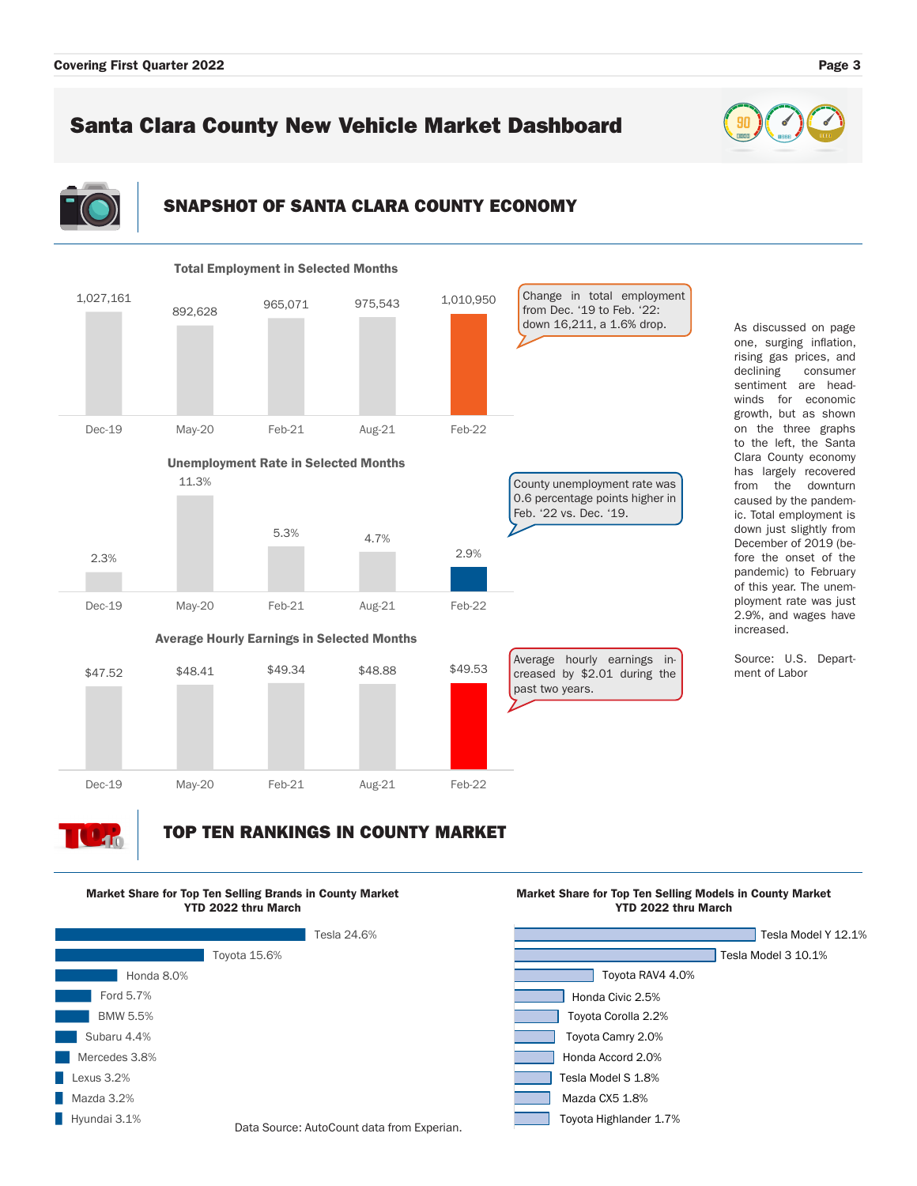## Santa Clara County New Vehicle Market Dashboard

### SNAPSHOT OF SANTA CLARA COUNTY ECONOMY



#### one, surging inflation, rising gas prices, and declining consumer sentiment are headwinds for economic growth, but as shown on the three graphs to the left, the Santa Clara County economy has largely recovered from the downturn caused by the pandemic. Total employment is down just slightly from December of 2019 (before the onset of the pandemic) to February of this year. The unemployment rate was just 2.9%, and wages have increased.

As discussed on page

Source: U.S. Department of Labor

# 40

## TOP TEN RANKINGS IN COUNTY MARKET







Market Share for Top Ten Selling Models in County Market

### Data Source: AutoCount data from Experian.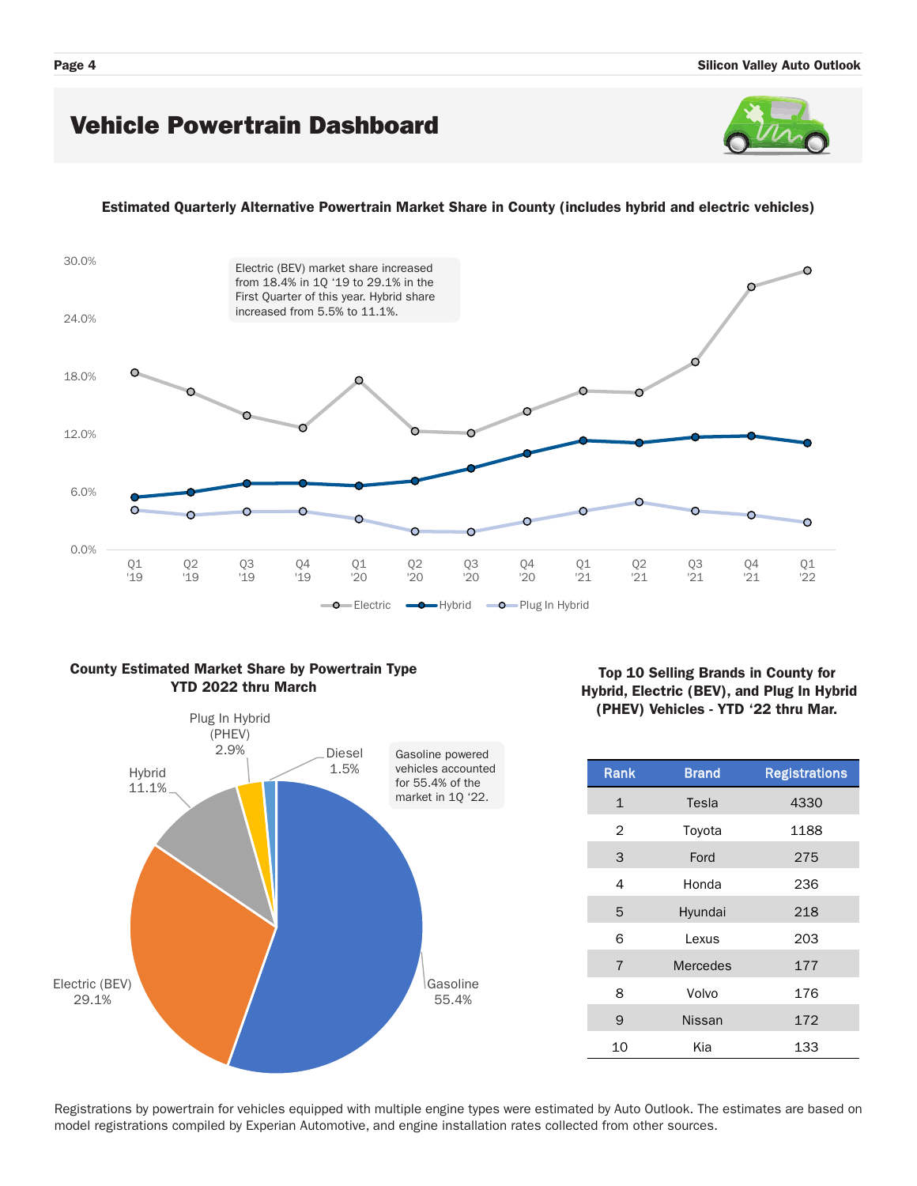### Vehicle Powertrain Dashboard



### Estimated Quarterly Alternative Powertrain Market Share in County (includes hybrid and electric vehicles)



### County Estimated Market Share by Powertrain Type YTD 2022 thru March



### Top 10 Selling Brands in County for Hybrid, Electric (BEV), and Plug In Hybrid (PHEV) Vehicles - YTD '22 thru Mar.

| <b>Rank</b>    | <b>Brand</b>    | <b>Registrations</b> |  |  |  |
|----------------|-----------------|----------------------|--|--|--|
| $\mathbf{1}$   | Tesla           | 4330                 |  |  |  |
| $\overline{2}$ | Toyota          | 1188                 |  |  |  |
| 3              | Ford            | 275                  |  |  |  |
| 4              | Honda           | 236                  |  |  |  |
| 5              | Hyundai         | 218                  |  |  |  |
| 6              | Lexus           | 203                  |  |  |  |
| $\overline{7}$ | <b>Mercedes</b> | 177                  |  |  |  |
| 8              | Volvo           | 176                  |  |  |  |
| 9              | <b>Nissan</b>   | 172                  |  |  |  |
| 10             | Kia             | 133                  |  |  |  |

Registrations by powertrain for vehicles equipped with multiple engine types were estimated by Auto Outlook. The estimates are based on model registrations compiled by Experian Automotive, and engine installation rates collected from other sources.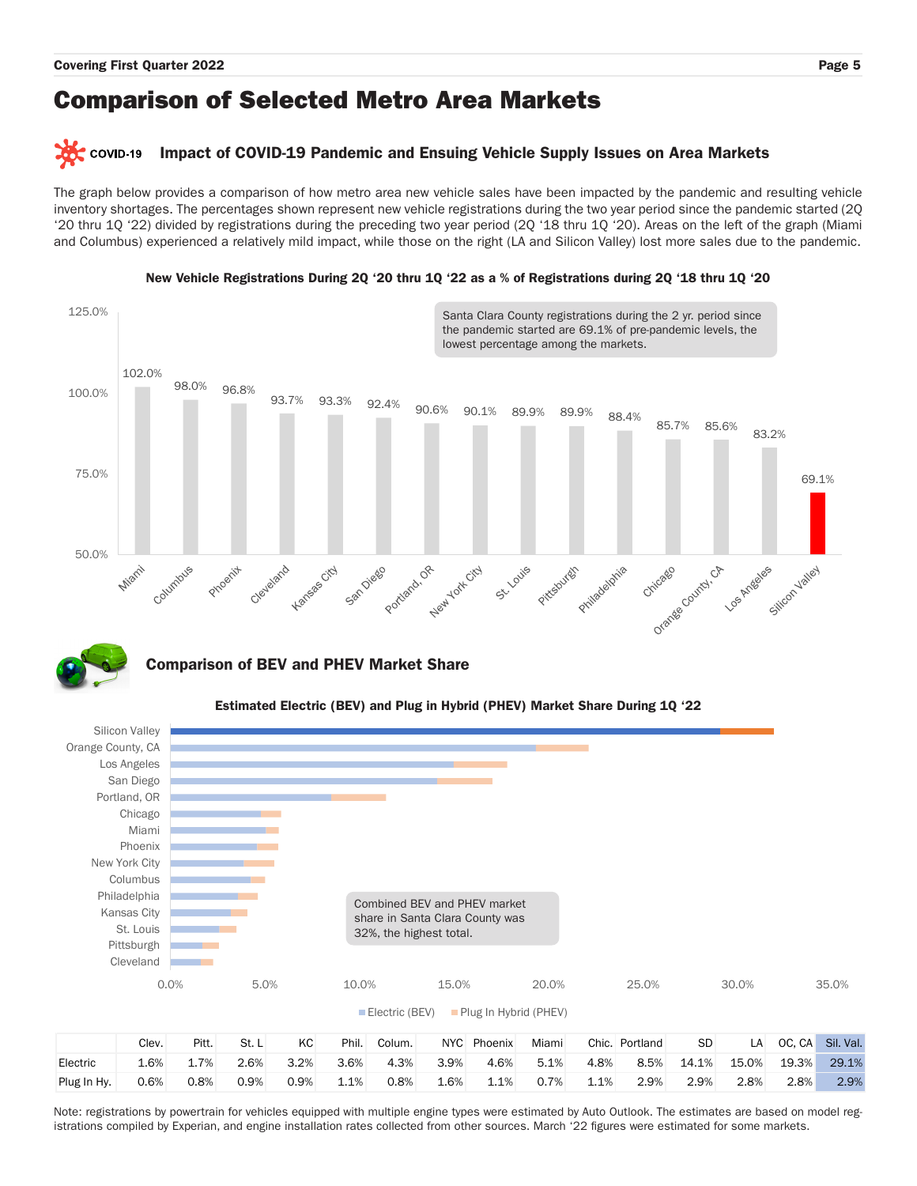## Comparison of Selected Metro Area Markets

#### COVID-19 Impact of COVID-19 Pandemic and Ensuing Vehicle Supply Issues on Area Markets

The graph below provides a comparison of how metro area new vehicle sales have been impacted by the pandemic and resulting vehicle inventory shortages. The percentages shown represent new vehicle registrations during the two year period since the pandemic started (2Q '20 thru 1Q '22) divided by registrations during the preceding two year period (2Q '18 thru 1Q '20). Areas on the left of the graph (Miami and Columbus) experienced a relatively mild impact, while those on the right (LA and Silicon Valley) lost more sales due to the pandemic.



### New Vehicle Registrations During 2Q '20 thru 1Q '22 as a % of Registrations during 2Q '18 thru 1Q '20



### Comparison of BEV and PHEV Market Share



### Estimated Electric (BEV) and Plug in Hybrid (PHEV) Market Share During 1Q '22

Note: registrations by powertrain for vehicles equipped with multiple engine types were estimated by Auto Outlook. The estimates are based on model registrations compiled by Experian, and engine installation rates collected from other sources. March '22 figures were estimated for some markets.